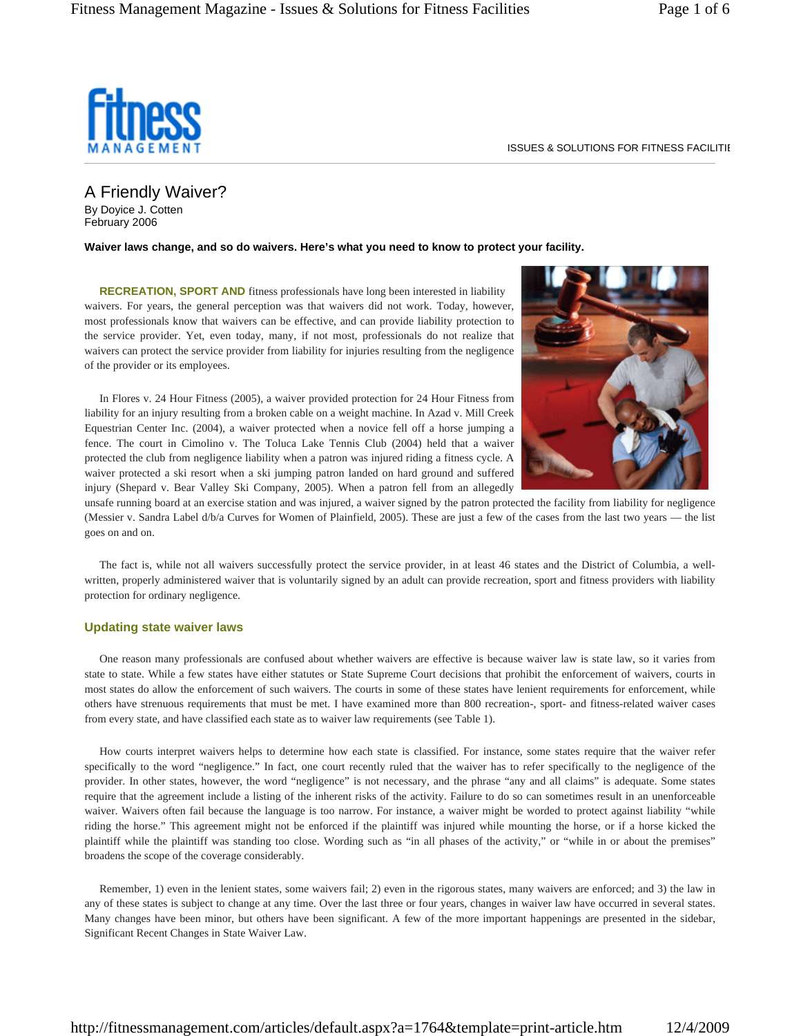

ISSUES & SOLUTIONS FOR FITNESS FACILITIE

A Friendly Waiver? By Doyice J. Cotten February 2006

**Waiver laws change, and so do waivers. Here's what you need to know to protect your facility.**

**RECREATION, SPORT AND** fitness professionals have long been interested in liability waivers. For years, the general perception was that waivers did not work. Today, however, most professionals know that waivers can be effective, and can provide liability protection to the service provider. Yet, even today, many, if not most, professionals do not realize that waivers can protect the service provider from liability for injuries resulting from the negligence of the provider or its employees.

In Flores v. 24 Hour Fitness (2005), a waiver provided protection for 24 Hour Fitness from liability for an injury resulting from a broken cable on a weight machine. In Azad v. Mill Creek Equestrian Center Inc. (2004), a waiver protected when a novice fell off a horse jumping a fence. The court in Cimolino v. The Toluca Lake Tennis Club (2004) held that a waiver protected the club from negligence liability when a patron was injured riding a fitness cycle. A waiver protected a ski resort when a ski jumping patron landed on hard ground and suffered injury (Shepard v. Bear Valley Ski Company, 2005). When a patron fell from an allegedly



unsafe running board at an exercise station and was injured, a waiver signed by the patron protected the facility from liability for negligence (Messier v. Sandra Label d/b/a Curves for Women of Plainfield, 2005). These are just a few of the cases from the last two years — the list goes on and on.

The fact is, while not all waivers successfully protect the service provider, in at least 46 states and the District of Columbia, a wellwritten, properly administered waiver that is voluntarily signed by an adult can provide recreation, sport and fitness providers with liability protection for ordinary negligence.

### **Updating state waiver laws**

One reason many professionals are confused about whether waivers are effective is because waiver law is state law, so it varies from state to state. While a few states have either statutes or State Supreme Court decisions that prohibit the enforcement of waivers, courts in most states do allow the enforcement of such waivers. The courts in some of these states have lenient requirements for enforcement, while others have strenuous requirements that must be met. I have examined more than 800 recreation-, sport- and fitness-related waiver cases from every state, and have classified each state as to waiver law requirements (see Table 1).

How courts interpret waivers helps to determine how each state is classified. For instance, some states require that the waiver refer specifically to the word "negligence." In fact, one court recently ruled that the waiver has to refer specifically to the negligence of the provider. In other states, however, the word "negligence" is not necessary, and the phrase "any and all claims" is adequate. Some states require that the agreement include a listing of the inherent risks of the activity. Failure to do so can sometimes result in an unenforceable waiver. Waivers often fail because the language is too narrow. For instance, a waiver might be worded to protect against liability "while riding the horse." This agreement might not be enforced if the plaintiff was injured while mounting the horse, or if a horse kicked the plaintiff while the plaintiff was standing too close. Wording such as "in all phases of the activity," or "while in or about the premises" broadens the scope of the coverage considerably.

Remember, 1) even in the lenient states, some waivers fail; 2) even in the rigorous states, many waivers are enforced; and 3) the law in any of these states is subject to change at any time. Over the last three or four years, changes in waiver law have occurred in several states. Many changes have been minor, but others have been significant. A few of the more important happenings are presented in the sidebar, Significant Recent Changes in State Waiver Law.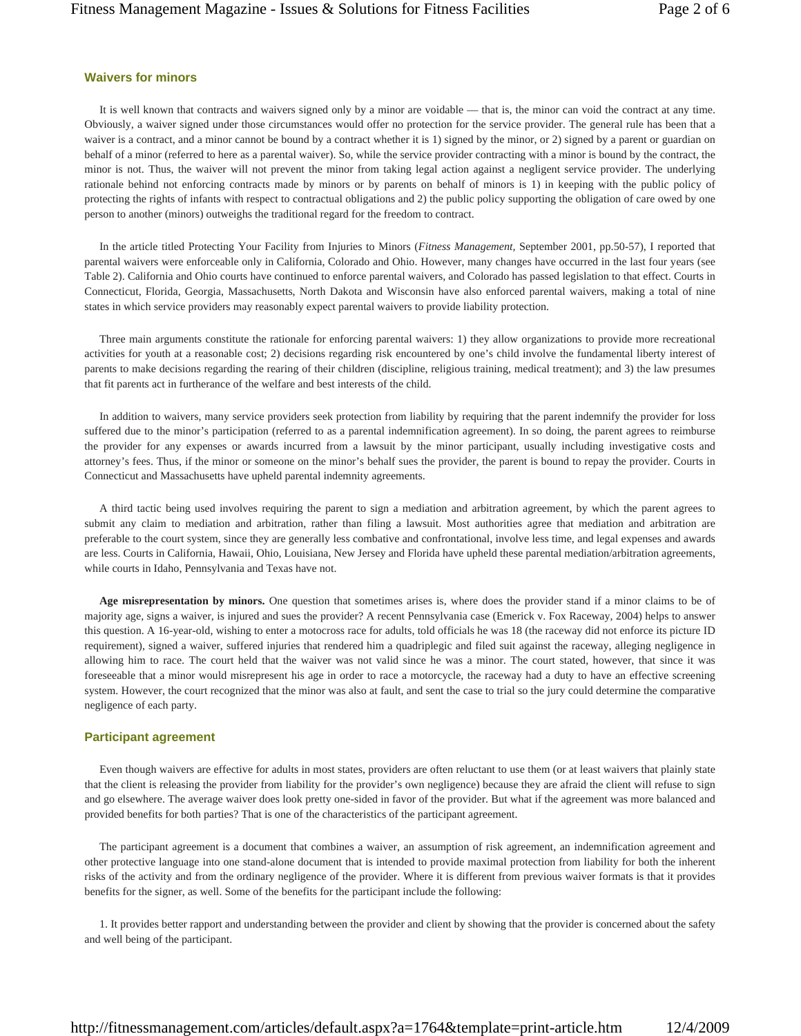## **Waivers for minors**

It is well known that contracts and waivers signed only by a minor are voidable — that is, the minor can void the contract at any time. Obviously, a waiver signed under those circumstances would offer no protection for the service provider. The general rule has been that a waiver is a contract, and a minor cannot be bound by a contract whether it is 1) signed by the minor, or 2) signed by a parent or guardian on behalf of a minor (referred to here as a parental waiver). So, while the service provider contracting with a minor is bound by the contract, the minor is not. Thus, the waiver will not prevent the minor from taking legal action against a negligent service provider. The underlying rationale behind not enforcing contracts made by minors or by parents on behalf of minors is 1) in keeping with the public policy of protecting the rights of infants with respect to contractual obligations and 2) the public policy supporting the obligation of care owed by one person to another (minors) outweighs the traditional regard for the freedom to contract.

In the article titled Protecting Your Facility from Injuries to Minors (*Fitness Management,* September 2001, pp.50-57), I reported that parental waivers were enforceable only in California, Colorado and Ohio. However, many changes have occurred in the last four years (see Table 2). California and Ohio courts have continued to enforce parental waivers, and Colorado has passed legislation to that effect. Courts in Connecticut, Florida, Georgia, Massachusetts, North Dakota and Wisconsin have also enforced parental waivers, making a total of nine states in which service providers may reasonably expect parental waivers to provide liability protection.

Three main arguments constitute the rationale for enforcing parental waivers: 1) they allow organizations to provide more recreational activities for youth at a reasonable cost; 2) decisions regarding risk encountered by one's child involve the fundamental liberty interest of parents to make decisions regarding the rearing of their children (discipline, religious training, medical treatment); and 3) the law presumes that fit parents act in furtherance of the welfare and best interests of the child.

In addition to waivers, many service providers seek protection from liability by requiring that the parent indemnify the provider for loss suffered due to the minor's participation (referred to as a parental indemnification agreement). In so doing, the parent agrees to reimburse the provider for any expenses or awards incurred from a lawsuit by the minor participant, usually including investigative costs and attorney's fees. Thus, if the minor or someone on the minor's behalf sues the provider, the parent is bound to repay the provider. Courts in Connecticut and Massachusetts have upheld parental indemnity agreements.

A third tactic being used involves requiring the parent to sign a mediation and arbitration agreement, by which the parent agrees to submit any claim to mediation and arbitration, rather than filing a lawsuit. Most authorities agree that mediation and arbitration are preferable to the court system, since they are generally less combative and confrontational, involve less time, and legal expenses and awards are less. Courts in California, Hawaii, Ohio, Louisiana, New Jersey and Florida have upheld these parental mediation/arbitration agreements, while courts in Idaho, Pennsylvania and Texas have not.

**Age misrepresentation by minors.** One question that sometimes arises is, where does the provider stand if a minor claims to be of majority age, signs a waiver, is injured and sues the provider? A recent Pennsylvania case (Emerick v. Fox Raceway, 2004) helps to answer this question. A 16-year-old, wishing to enter a motocross race for adults, told officials he was 18 (the raceway did not enforce its picture ID requirement), signed a waiver, suffered injuries that rendered him a quadriplegic and filed suit against the raceway, alleging negligence in allowing him to race. The court held that the waiver was not valid since he was a minor. The court stated, however, that since it was foreseeable that a minor would misrepresent his age in order to race a motorcycle, the raceway had a duty to have an effective screening system. However, the court recognized that the minor was also at fault, and sent the case to trial so the jury could determine the comparative negligence of each party.

#### **Participant agreement**

Even though waivers are effective for adults in most states, providers are often reluctant to use them (or at least waivers that plainly state that the client is releasing the provider from liability for the provider's own negligence) because they are afraid the client will refuse to sign and go elsewhere. The average waiver does look pretty one-sided in favor of the provider. But what if the agreement was more balanced and provided benefits for both parties? That is one of the characteristics of the participant agreement.

The participant agreement is a document that combines a waiver, an assumption of risk agreement, an indemnification agreement and other protective language into one stand-alone document that is intended to provide maximal protection from liability for both the inherent risks of the activity and from the ordinary negligence of the provider. Where it is different from previous waiver formats is that it provides benefits for the signer, as well. Some of the benefits for the participant include the following:

1. It provides better rapport and understanding between the provider and client by showing that the provider is concerned about the safety and well being of the participant.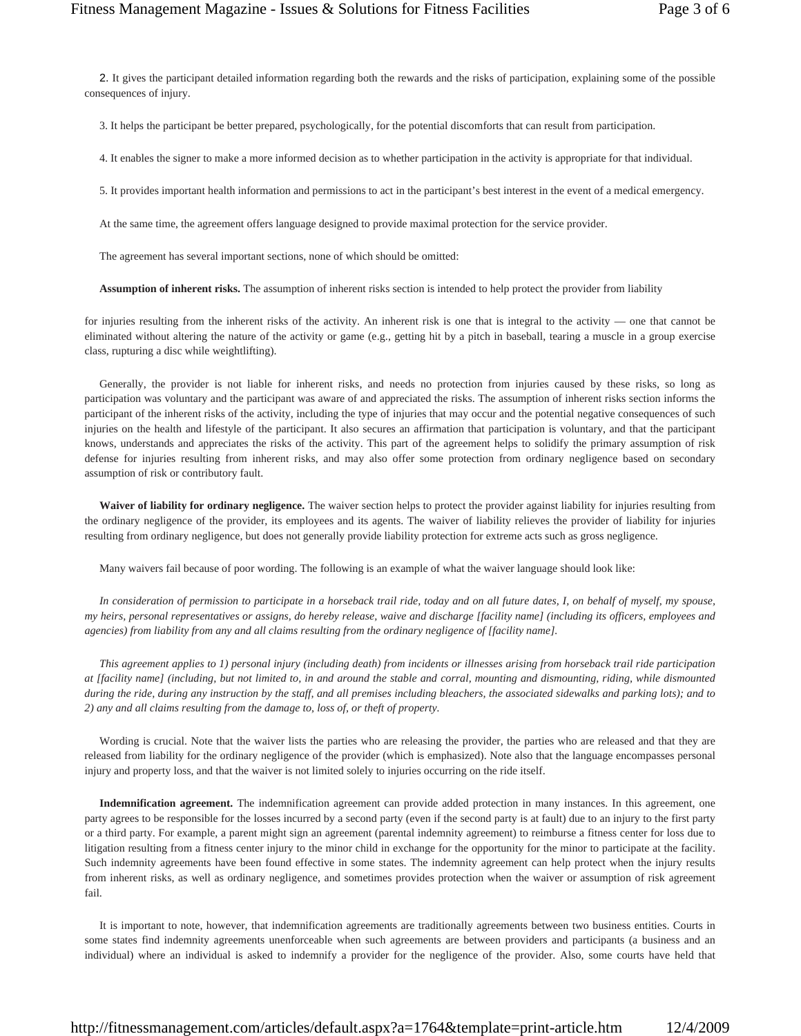2. It gives the participant detailed information regarding both the rewards and the risks of participation, explaining some of the possible consequences of injury.

3. It helps the participant be better prepared, psychologically, for the potential discomforts that can result from participation.

4. It enables the signer to make a more informed decision as to whether participation in the activity is appropriate for that individual.

5. It provides important health information and permissions to act in the participant's best interest in the event of a medical emergency.

At the same time, the agreement offers language designed to provide maximal protection for the service provider.

The agreement has several important sections, none of which should be omitted:

**Assumption of inherent risks.** The assumption of inherent risks section is intended to help protect the provider from liability

for injuries resulting from the inherent risks of the activity. An inherent risk is one that is integral to the activity — one that cannot be eliminated without altering the nature of the activity or game (e.g., getting hit by a pitch in baseball, tearing a muscle in a group exercise class, rupturing a disc while weightlifting).

Generally, the provider is not liable for inherent risks, and needs no protection from injuries caused by these risks, so long as participation was voluntary and the participant was aware of and appreciated the risks. The assumption of inherent risks section informs the participant of the inherent risks of the activity, including the type of injuries that may occur and the potential negative consequences of such injuries on the health and lifestyle of the participant. It also secures an affirmation that participation is voluntary, and that the participant knows, understands and appreciates the risks of the activity. This part of the agreement helps to solidify the primary assumption of risk defense for injuries resulting from inherent risks, and may also offer some protection from ordinary negligence based on secondary assumption of risk or contributory fault.

**Waiver of liability for ordinary negligence.** The waiver section helps to protect the provider against liability for injuries resulting from the ordinary negligence of the provider, its employees and its agents. The waiver of liability relieves the provider of liability for injuries resulting from ordinary negligence, but does not generally provide liability protection for extreme acts such as gross negligence.

Many waivers fail because of poor wording. The following is an example of what the waiver language should look like:

*In consideration of permission to participate in a horseback trail ride, today and on all future dates, I, on behalf of myself, my spouse, my heirs, personal representatives or assigns, do hereby release, waive and discharge [facility name] (including its officers, employees and agencies) from liability from any and all claims resulting from the ordinary negligence of [facility name].* 

*This agreement applies to 1) personal injury (including death) from incidents or illnesses arising from horseback trail ride participation at [facility name] (including, but not limited to, in and around the stable and corral, mounting and dismounting, riding, while dismounted during the ride, during any instruction by the staff, and all premises including bleachers, the associated sidewalks and parking lots); and to 2) any and all claims resulting from the damage to, loss of, or theft of property.* 

Wording is crucial. Note that the waiver lists the parties who are releasing the provider, the parties who are released and that they are released from liability for the ordinary negligence of the provider (which is emphasized). Note also that the language encompasses personal injury and property loss, and that the waiver is not limited solely to injuries occurring on the ride itself.

**Indemnification agreement.** The indemnification agreement can provide added protection in many instances. In this agreement, one party agrees to be responsible for the losses incurred by a second party (even if the second party is at fault) due to an injury to the first party or a third party. For example, a parent might sign an agreement (parental indemnity agreement) to reimburse a fitness center for loss due to litigation resulting from a fitness center injury to the minor child in exchange for the opportunity for the minor to participate at the facility. Such indemnity agreements have been found effective in some states. The indemnity agreement can help protect when the injury results from inherent risks, as well as ordinary negligence, and sometimes provides protection when the waiver or assumption of risk agreement fail.

It is important to note, however, that indemnification agreements are traditionally agreements between two business entities. Courts in some states find indemnity agreements unenforceable when such agreements are between providers and participants (a business and an individual) where an individual is asked to indemnify a provider for the negligence of the provider. Also, some courts have held that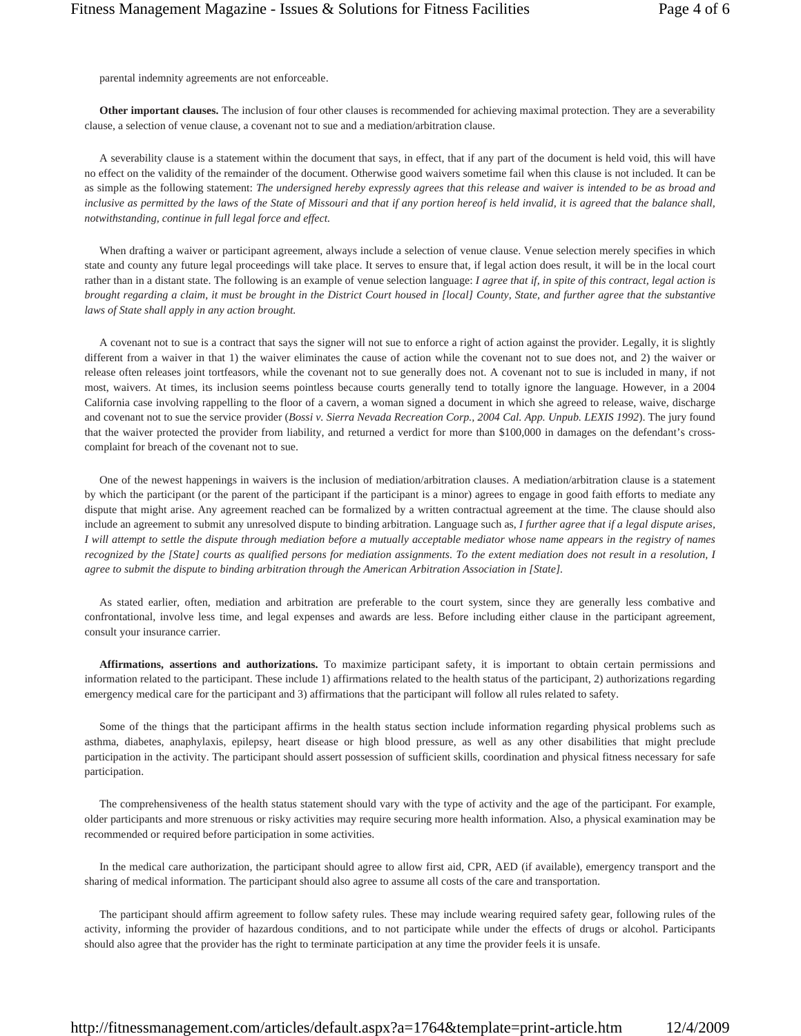parental indemnity agreements are not enforceable.

**Other important clauses.** The inclusion of four other clauses is recommended for achieving maximal protection. They are a severability clause, a selection of venue clause, a covenant not to sue and a mediation/arbitration clause.

A severability clause is a statement within the document that says, in effect, that if any part of the document is held void, this will have no effect on the validity of the remainder of the document. Otherwise good waivers sometime fail when this clause is not included. It can be as simple as the following statement: *The undersigned hereby expressly agrees that this release and waiver is intended to be as broad and*  inclusive as permitted by the laws of the State of Missouri and that if any portion hereof is held invalid, it is agreed that the balance shall, *notwithstanding, continue in full legal force and effect.* 

When drafting a waiver or participant agreement, always include a selection of venue clause. Venue selection merely specifies in which state and county any future legal proceedings will take place. It serves to ensure that, if legal action does result, it will be in the local court rather than in a distant state. The following is an example of venue selection language: *I agree that if, in spite of this contract, legal action is brought regarding a claim, it must be brought in the District Court housed in [local] County, State, and further agree that the substantive laws of State shall apply in any action brought.* 

A covenant not to sue is a contract that says the signer will not sue to enforce a right of action against the provider. Legally, it is slightly different from a waiver in that 1) the waiver eliminates the cause of action while the covenant not to sue does not, and 2) the waiver or release often releases joint tortfeasors, while the covenant not to sue generally does not. A covenant not to sue is included in many, if not most, waivers. At times, its inclusion seems pointless because courts generally tend to totally ignore the language. However, in a 2004 California case involving rappelling to the floor of a cavern, a woman signed a document in which she agreed to release, waive, discharge and covenant not to sue the service provider (*Bossi v. Sierra Nevada Recreation Corp., 2004 Cal. App. Unpub. LEXIS 1992*). The jury found that the waiver protected the provider from liability, and returned a verdict for more than \$100,000 in damages on the defendant's crosscomplaint for breach of the covenant not to sue.

One of the newest happenings in waivers is the inclusion of mediation/arbitration clauses. A mediation/arbitration clause is a statement by which the participant (or the parent of the participant if the participant is a minor) agrees to engage in good faith efforts to mediate any dispute that might arise. Any agreement reached can be formalized by a written contractual agreement at the time. The clause should also include an agreement to submit any unresolved dispute to binding arbitration. Language such as, *I further agree that if a legal dispute arises, I will attempt to settle the dispute through mediation before a mutually acceptable mediator whose name appears in the registry of names recognized by the [State] courts as qualified persons for mediation assignments. To the extent mediation does not result in a resolution, I agree to submit the dispute to binding arbitration through the American Arbitration Association in [State].* 

As stated earlier, often, mediation and arbitration are preferable to the court system, since they are generally less combative and confrontational, involve less time, and legal expenses and awards are less. Before including either clause in the participant agreement, consult your insurance carrier.

**Affirmations, assertions and authorizations.** To maximize participant safety, it is important to obtain certain permissions and information related to the participant. These include 1) affirmations related to the health status of the participant, 2) authorizations regarding emergency medical care for the participant and 3) affirmations that the participant will follow all rules related to safety.

Some of the things that the participant affirms in the health status section include information regarding physical problems such as asthma, diabetes, anaphylaxis, epilepsy, heart disease or high blood pressure, as well as any other disabilities that might preclude participation in the activity. The participant should assert possession of sufficient skills, coordination and physical fitness necessary for safe participation.

The comprehensiveness of the health status statement should vary with the type of activity and the age of the participant. For example, older participants and more strenuous or risky activities may require securing more health information. Also, a physical examination may be recommended or required before participation in some activities.

In the medical care authorization, the participant should agree to allow first aid, CPR, AED (if available), emergency transport and the sharing of medical information. The participant should also agree to assume all costs of the care and transportation.

The participant should affirm agreement to follow safety rules. These may include wearing required safety gear, following rules of the activity, informing the provider of hazardous conditions, and to not participate while under the effects of drugs or alcohol. Participants should also agree that the provider has the right to terminate participation at any time the provider feels it is unsafe.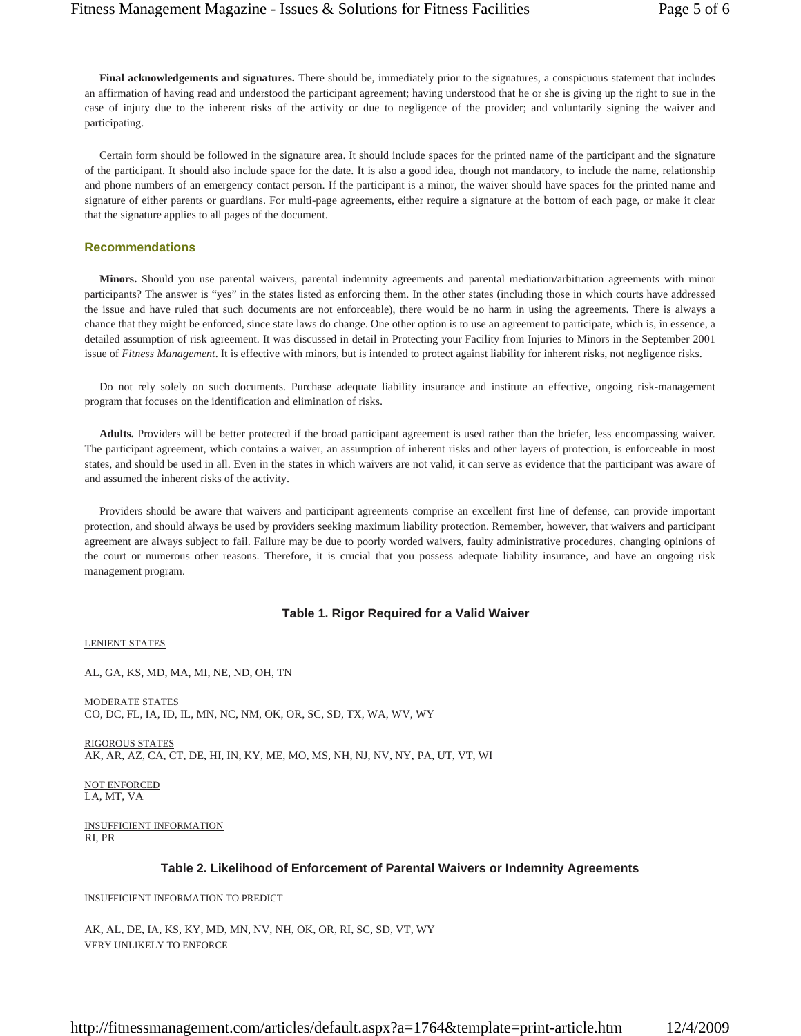**Final acknowledgements and signatures.** There should be, immediately prior to the signatures, a conspicuous statement that includes an affirmation of having read and understood the participant agreement; having understood that he or she is giving up the right to sue in the case of injury due to the inherent risks of the activity or due to negligence of the provider; and voluntarily signing the waiver and participating.

Certain form should be followed in the signature area. It should include spaces for the printed name of the participant and the signature of the participant. It should also include space for the date. It is also a good idea, though not mandatory, to include the name, relationship and phone numbers of an emergency contact person. If the participant is a minor, the waiver should have spaces for the printed name and signature of either parents or guardians. For multi-page agreements, either require a signature at the bottom of each page, or make it clear that the signature applies to all pages of the document.

## **Recommendations**

**Minors.** Should you use parental waivers, parental indemnity agreements and parental mediation/arbitration agreements with minor participants? The answer is "yes" in the states listed as enforcing them. In the other states (including those in which courts have addressed the issue and have ruled that such documents are not enforceable), there would be no harm in using the agreements. There is always a chance that they might be enforced, since state laws do change. One other option is to use an agreement to participate, which is, in essence, a detailed assumption of risk agreement. It was discussed in detail in Protecting your Facility from Injuries to Minors in the September 2001 issue of *Fitness Management*. It is effective with minors, but is intended to protect against liability for inherent risks, not negligence risks.

Do not rely solely on such documents. Purchase adequate liability insurance and institute an effective, ongoing risk-management program that focuses on the identification and elimination of risks.

**Adults.** Providers will be better protected if the broad participant agreement is used rather than the briefer, less encompassing waiver. The participant agreement, which contains a waiver, an assumption of inherent risks and other layers of protection, is enforceable in most states, and should be used in all. Even in the states in which waivers are not valid, it can serve as evidence that the participant was aware of and assumed the inherent risks of the activity.

Providers should be aware that waivers and participant agreements comprise an excellent first line of defense, can provide important protection, and should always be used by providers seeking maximum liability protection. Remember, however, that waivers and participant agreement are always subject to fail. Failure may be due to poorly worded waivers, faulty administrative procedures, changing opinions of the court or numerous other reasons. Therefore, it is crucial that you possess adequate liability insurance, and have an ongoing risk management program.

#### **Table 1. Rigor Required for a Valid Waiver**

LENIENT STATES

AL, GA, KS, MD, MA, MI, NE, ND, OH, TN

MODERATE STATES CO, DC, FL, IA, ID, IL, MN, NC, NM, OK, OR, SC, SD, TX, WA, WV, WY

RIGOROUS STATES AK, AR, AZ, CA, CT, DE, HI, IN, KY, ME, MO, MS, NH, NJ, NV, NY, PA, UT, VT, WI

NOT ENFORCED LA, MT, VA

INSUFFICIENT INFORMATION RI, PR

## **Table 2. Likelihood of Enforcement of Parental Waivers or Indemnity Agreements**

## INSUFFICIENT INFORMATION TO PREDICT

AK, AL, DE, IA, KS, KY, MD, MN, NV, NH, OK, OR, RI, SC, SD, VT, WY VERY UNLIKELY TO ENFORCE